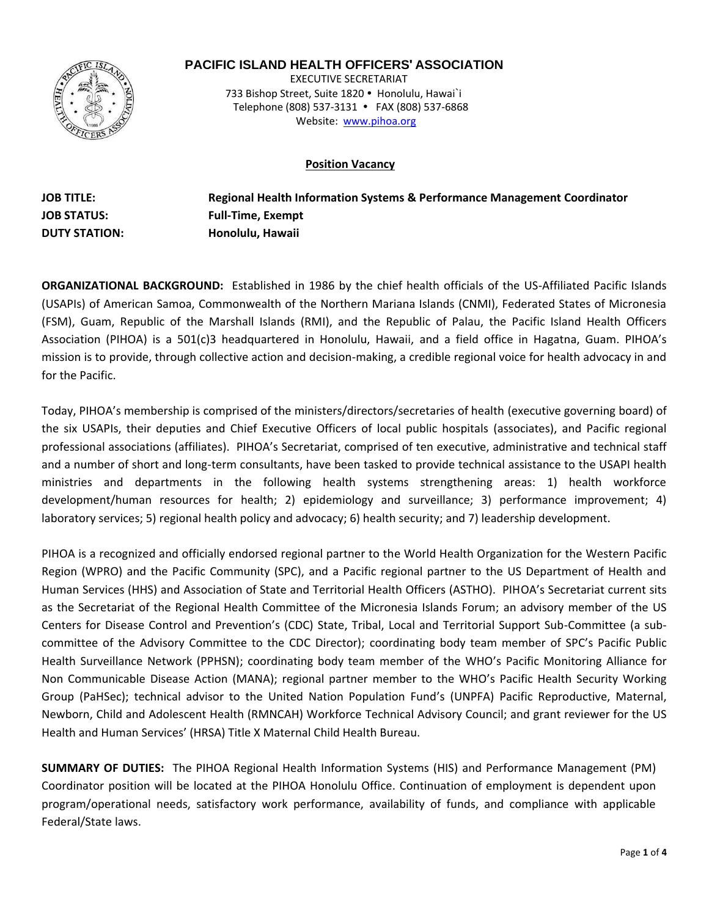

# **PACIFIC ISLAND HEALTH OFFICERS' ASSOCIATION**

 EXECUTIVE SECRETARIAT 733 Bishop Street, Suite 1820 · Honolulu, Hawai`i Telephone (808) 537-3131 • FAX (808) 537-6868 Website: www.pihoa.org

#### **Position Vacancy**

**JOB TITLE: JOB STATUS: DUTY STATION: Regional Health Information Systems & Performance Management Coordinator Full-Time, Exempt Honolulu, Hawaii** 

**ORGANIZATIONAL BACKGROUND:** Established in 1986 by the chief health officials of the US-Affiliated Pacific Islands (USAPIs) of American Samoa, Commonwealth of the Northern Mariana Islands (CNMI), Federated States of Micronesia (FSM), Guam, Republic of the Marshall Islands (RMI), and the Republic of Palau, the Pacific Island Health Officers Association (PIHOA) is a 501(c)3 headquartered in Honolulu, Hawaii, and a field office in Hagatna, Guam. PIHOA's mission is to provide, through collective action and decision-making, a credible regional voice for health advocacy in and for the Pacific.

Today, PIHOA's membership is comprised of the ministers/directors/secretaries of health (executive governing board) of the six USAPIs, their deputies and Chief Executive Officers of local public hospitals (associates), and Pacific regional professional associations (affiliates). PIHOA's Secretariat, comprised of ten executive, administrative and technical staff and a number of short and long-term consultants, have been tasked to provide technical assistance to the USAPI health ministries and departments in the following health systems strengthening areas: 1) health workforce development/human resources for health; 2) epidemiology and surveillance; 3) performance improvement; 4) laboratory services; 5) regional health policy and advocacy; 6) health security; and 7) leadership development.

PIHOA is a recognized and officially endorsed regional partner to the World Health Organization for the Western Pacific Region (WPRO) and the Pacific Community (SPC), and a Pacific regional partner to the US Department of Health and Human Services (HHS) and Association of State and Territorial Health Officers (ASTHO). PIHOA's Secretariat current sits as the Secretariat of the Regional Health Committee of the Micronesia Islands Forum; an advisory member of the US Centers for Disease Control and Prevention's (CDC) State, Tribal, Local and Territorial Support Sub-Committee (a subcommittee of the Advisory Committee to the CDC Director); coordinating body team member of SPC's Pacific Public Health Surveillance Network (PPHSN); coordinating body team member of the WHO's Pacific Monitoring Alliance for Non Communicable Disease Action (MANA); regional partner member to the WHO's Pacific Health Security Working Group (PaHSec); technical advisor to the United Nation Population Fund's (UNPFA) Pacific Reproductive, Maternal, Newborn, Child and Adolescent Health (RMNCAH) Workforce Technical Advisory Council; and grant reviewer for the US Health and Human Services' (HRSA) Title X Maternal Child Health Bureau.

**SUMMARY OF DUTIES:** The PIHOA Regional Health Information Systems (HIS) and Performance Management (PM) Coordinator position will be located at the PIHOA Honolulu Office. Continuation of employment is dependent upon program/operational needs, satisfactory work performance, availability of funds, and compliance with applicable Federal/State laws.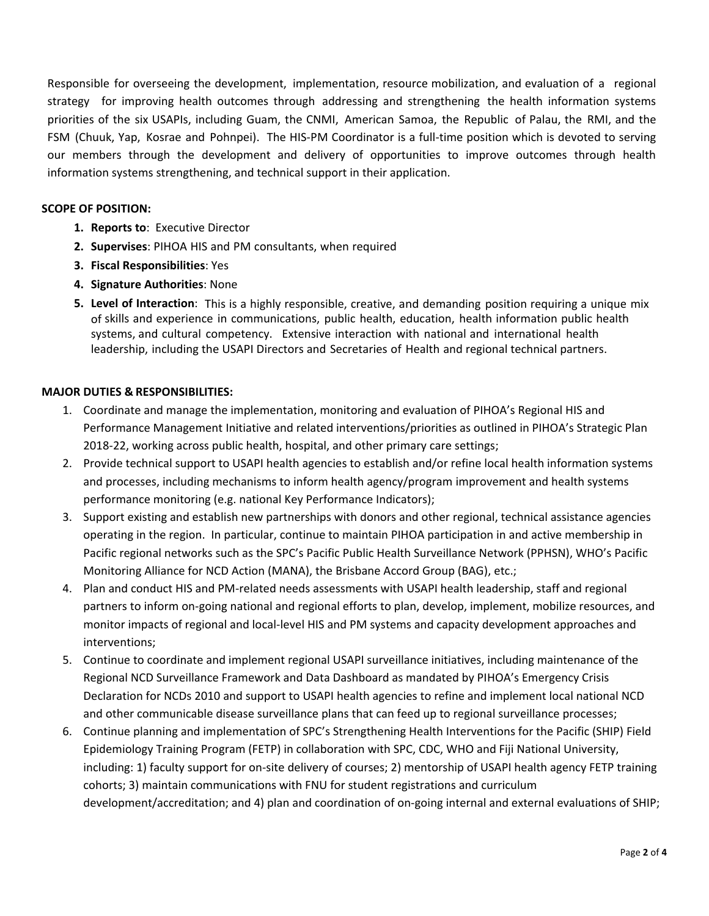Responsible for overseeing the development, implementation, resource mobilization, and evaluation of a regional strategy for improving health outcomes through addressing and strengthening the health information systems priorities of the six USAPIs, including Guam, the CNMI, American Samoa, the Republic of Palau, the RMI, and the FSM (Chuuk, Yap, Kosrae and Pohnpei). The HIS-PM Coordinator is a full-time position which is devoted to serving our members through the development and delivery of opportunities to improve outcomes through health information systems strengthening, and technical support in their application.

#### **SCOPE OF POSITION:**

- **1. Reports to**: Executive Director
- **2. Supervises**: PIHOA HIS and PM consultants, when required
- **3. Fiscal Responsibilities**: Yes
- **4. Signature Authorities**: None
- **5. Level of Interaction**: This is a highly responsible, creative, and demanding position requiring a unique mix of skills and experience in communications, public health, education, health information public health systems, and cultural competency. Extensive interaction with national and international health leadership, including the USAPI Directors and Secretaries of Health and regional technical partners.

### **MAJOR DUTIES & RESPONSIBILITIES:**

- 1. Coordinate and manage the implementation, monitoring and evaluation of PIHOA's Regional HIS and Performance Management Initiative and related interventions/priorities as outlined in PIHOA's Strategic Plan 2018-22, working across public health, hospital, and other primary care settings;
- 2. Provide technical support to USAPI health agencies to establish and/or refine local health information systems and processes, including mechanisms to inform health agency/program improvement and health systems performance monitoring (e.g. national Key Performance Indicators);
- 3. Support existing and establish new partnerships with donors and other regional, technical assistance agencies operating in the region. In particular, continue to maintain PIHOA participation in and active membership in Pacific regional networks such as the SPC's Pacific Public Health Surveillance Network (PPHSN), WHO's Pacific Monitoring Alliance for NCD Action (MANA), the Brisbane Accord Group (BAG), etc.;
- 4. Plan and conduct HIS and PM-related needs assessments with USAPI health leadership, staff and regional partners to inform on-going national and regional efforts to plan, develop, implement, mobilize resources, and monitor impacts of regional and local-level HIS and PM systems and capacity development approaches and interventions;
- 5. Continue to coordinate and implement regional USAPI surveillance initiatives, including maintenance of the Regional NCD Surveillance Framework and Data Dashboard as mandated by PIHOA's Emergency Crisis Declaration for NCDs 2010 and support to USAPI health agencies to refine and implement local national NCD and other communicable disease surveillance plans that can feed up to regional surveillance processes;
- 6. Continue planning and implementation of SPC's Strengthening Health Interventions for the Pacific (SHIP) Field Epidemiology Training Program (FETP) in collaboration with SPC, CDC, WHO and Fiji National University, including: 1) faculty support for on-site delivery of courses; 2) mentorship of USAPI health agency FETP training cohorts; 3) maintain communications with FNU for student registrations and curriculum development/accreditation; and 4) plan and coordination of on-going internal and external evaluations of SHIP;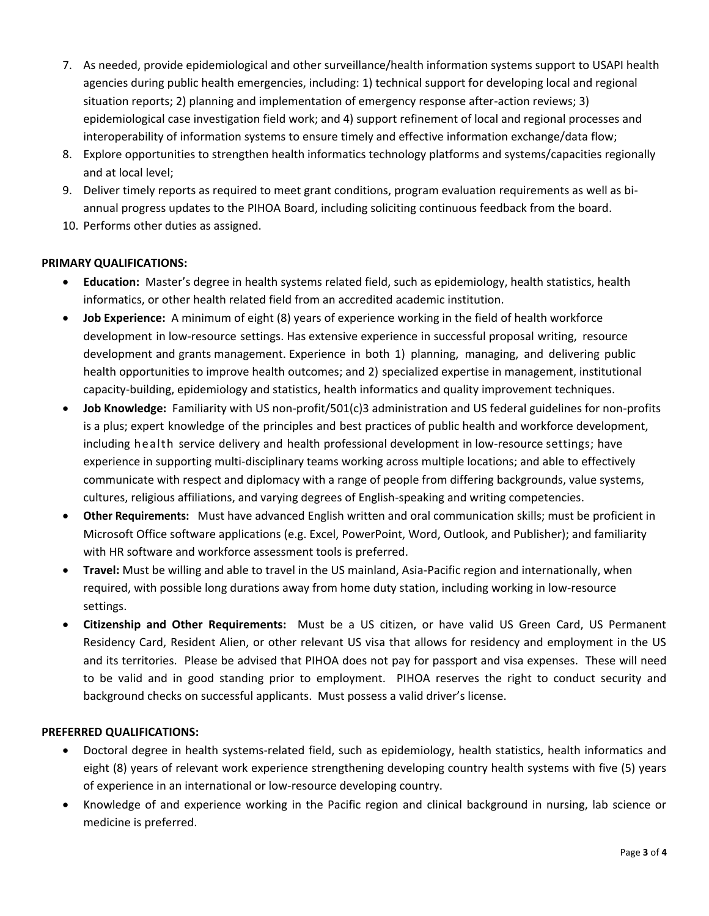- 7. As needed, provide epidemiological and other surveillance/health information systems support to USAPI health agencies during public health emergencies, including: 1) technical support for developing local and regional situation reports; 2) planning and implementation of emergency response after-action reviews; 3) epidemiological case investigation field work; and 4) support refinement of local and regional processes and interoperability of information systems to ensure timely and effective information exchange/data flow;
- 8. Explore opportunities to strengthen health informatics technology platforms and systems/capacities regionally and at local level;
- 9. Deliver timely reports as required to meet grant conditions, program evaluation requirements as well as biannual progress updates to the PIHOA Board, including soliciting continuous feedback from the board.
- 10. Performs other duties as assigned.

## **PRIMARY QUALIFICATIONS:**

- **Education:** Master's degree in health systems related field, such as epidemiology, health statistics, health informatics, or other health related field from an accredited academic institution.
- **Job Experience:** A minimum of eight (8) years of experience working in the field of health workforce development in low-resource settings. Has extensive experience in successful proposal writing, resource development and grants management. Experience in both 1) planning, managing, and delivering public health opportunities to improve health outcomes; and 2) specialized expertise in management, institutional capacity-building, epidemiology and statistics, health informatics and quality improvement techniques.
- **Job Knowledge:** Familiarity with US non-profit/501(c)3 administration and US federal guidelines for non-profits is a plus; expert knowledge of the principles and best practices of public health and workforce development, including health service delivery and health professional development in low-resource settings; have experience in supporting multi-disciplinary teams working across multiple locations; and able to effectively communicate with respect and diplomacy with a range of people from differing backgrounds, value systems, cultures, religious affiliations, and varying degrees of English-speaking and writing competencies.
- **Other Requirements:** Must have advanced English written and oral communication skills; must be proficient in Microsoft Office software applications (e.g. Excel, PowerPoint, Word, Outlook, and Publisher); and familiarity with HR software and workforce assessment tools is preferred.
- **Travel:** Must be willing and able to travel in the US mainland, Asia-Pacific region and internationally, when required, with possible long durations away from home duty station, including working in low-resource settings.
- **Citizenship and Other Requirements:** Must be a US citizen, or have valid US Green Card, US Permanent Residency Card, Resident Alien, or other relevant US visa that allows for residency and employment in the US and its territories. Please be advised that PIHOA does not pay for passport and visa expenses. These will need to be valid and in good standing prior to employment. PIHOA reserves the right to conduct security and background checks on successful applicants. Must possess a valid driver's license.

### **PREFERRED QUALIFICATIONS:**

- Doctoral degree in health systems-related field, such as epidemiology, health statistics, health informatics and eight (8) years of relevant work experience strengthening developing country health systems with five (5) years of experience in an international or low-resource developing country.
- Knowledge of and experience working in the Pacific region and clinical background in nursing, lab science or medicine is preferred.